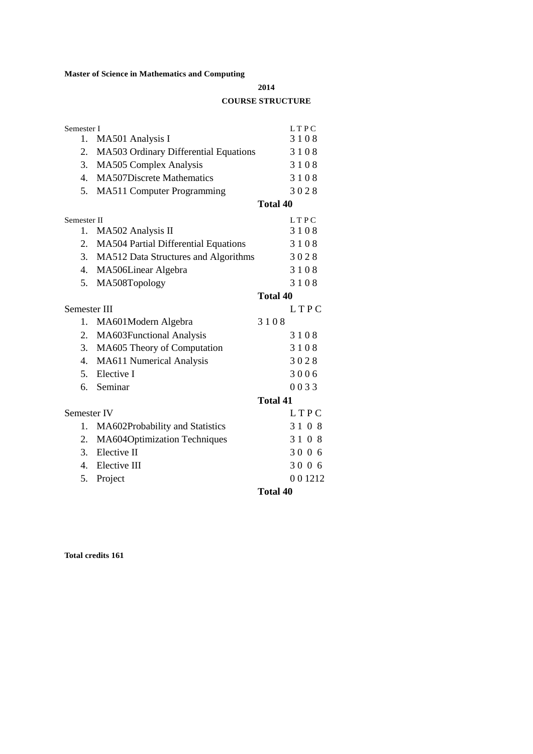## **Master of Science in Mathematics and Computing**

**2014**

## **COURSE STRUCTURE**

| Semester I     |                                             | <b>LTPC</b>     |
|----------------|---------------------------------------------|-----------------|
| 1.             | MA501 Analysis I                            | 3108            |
| 2.             | MA503 Ordinary Differential Equations       | 3108            |
| 3.             | MA505 Complex Analysis                      | 3108            |
| 4.             | <b>MA507Discrete Mathematics</b>            | 3108            |
| 5.             | MA511 Computer Programming                  | 3028            |
|                |                                             | <b>Total 40</b> |
| Semester II    |                                             | <b>LTPC</b>     |
| 1.             | MA502 Analysis II                           | 3108            |
| 2.             | <b>MA504 Partial Differential Equations</b> | 3108            |
|                | 3. MA512 Data Structures and Algorithms     | 3028            |
| 4.             | MA506Linear Algebra                         | 3108            |
| 5.             | MA508Topology                               | 3108            |
|                |                                             | <b>Total 40</b> |
| Semester III   |                                             | LTPC            |
| 1.             | MA601Modern Algebra                         | 3108            |
| 2.             | MA603Functional Analysis                    | 3108            |
| 3.             | MA605 Theory of Computation                 | 3108            |
| 4.             | MA611 Numerical Analysis                    | 3028            |
|                | 5. Elective I                               | 3006            |
|                | 6. Seminar                                  | 0033            |
|                |                                             | <b>Total 41</b> |
| Semester IV    |                                             | LTPC            |
| 1.             | MA602Probability and Statistics             | 3108            |
| 2.             | MA604Optimization Techniques                | 3108            |
| 3 <sup>1</sup> | Elective II                                 | 3006            |
| 4.             | Elective III                                | 3006            |
| 5.             | Project                                     | 001212          |
|                |                                             | <b>Total 40</b> |

**Total credits 161**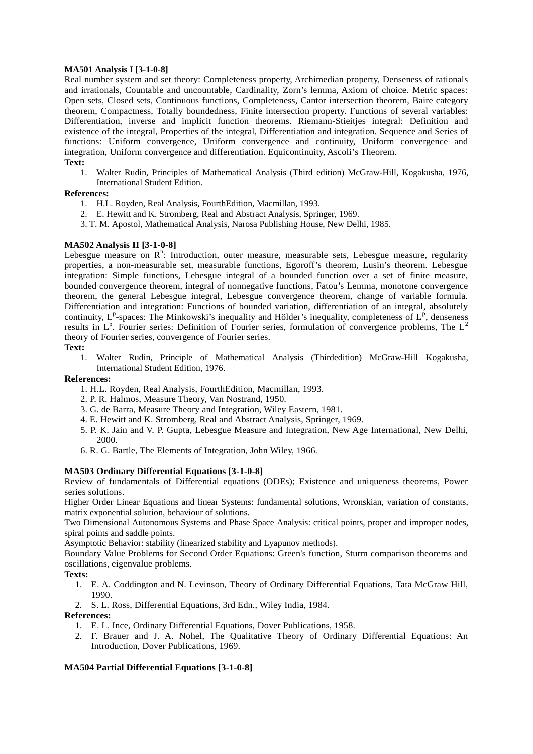### **MA501 Analysis I [3-1-0-8]**

Real number system and set theory: Completeness property, Archimedian property, Denseness of rationals and irrationals, Countable and uncountable, Cardinality, Zorn's lemma, Axiom of choice. Metric spaces: Open sets, Closed sets, Continuous functions, Completeness, Cantor intersection theorem, Baire category theorem, Compactness, Totally boundedness, Finite intersection property. Functions of several variables: Differentiation, inverse and implicit function theorems. Riemann-Stieitjes integral: Definition and existence of the integral, Properties of the integral, Differentiation and integration. Sequence and Series of functions: Uniform convergence, Uniform convergence and continuity, Uniform convergence and integration, Uniform convergence and differentiation. Equicontinuity, Ascoli's Theorem. **Text:**

1. Walter Rudin, Principles of Mathematical Analysis (Third edition) McGraw-Hill, Kogakusha, 1976, International Student Edition.

### **References:**

- 1. H.L. Royden, Real Analysis, FourthEdition, Macmillan, 1993.
- 2. E. Hewitt and K. Stromberg, Real and Abstract Analysis, Springer, 1969.
- 3. T. M. Apostol, Mathematical Analysis, Narosa Publishing House, New Delhi, 1985.

### **MA502 Analysis II [3-1-0-8]**

Lebesgue measure on  $R<sup>n</sup>$ : Introduction, outer measure, measurable sets, Lebesgue measure, regularity properties, a non-measurable set, measurable functions, Egoroff's theorem, Lusin's theorem. Lebesgue integration: Simple functions, Lebesgue integral of a bounded function over a set of finite measure, bounded convergence theorem, integral of nonnegative functions, Fatou's Lemma, monotone convergence theorem, the general Lebesgue integral, Lebesgue convergence theorem, change of variable formula. Differentiation and integration: Functions of bounded variation, differentiation of an integral, absolutely continuity,  $L^p$ -spaces: The Minkowski's inequality and Hölder's inequality, completeness of  $L^p$ , denseness results in  $L^p$ . Fourier series: Definition of Fourier series, formulation of convergence problems, The  $L^2$ theory of Fourier series, convergence of Fourier series.

# **Text:**

1. Walter Rudin, Principle of Mathematical Analysis (Thirdedition) McGraw-Hill Kogakusha, International Student Edition, 1976.

### **References:**

- 1. H.L. Royden, Real Analysis, FourthEdition, Macmillan, 1993.
- 2. P. R. Halmos, Measure Theory, Van Nostrand, 1950.
- 3. G. de Barra, Measure Theory and Integration, Wiley Eastern, 1981.
- 4. E. Hewitt and K. Stromberg, Real and Abstract Analysis, Springer, 1969.
- 5. P. K. Jain and V. P. Gupta, Lebesgue Measure and Integration, New Age International, New Delhi, 2000.
- 6. R. G. Bartle, The Elements of Integration, John Wiley, 1966.

### **MA503 Ordinary Differential Equations [3-1-0-8]**

Review of fundamentals of Differential equations (ODEs); Existence and uniqueness theorems, Power series solutions.

Higher Order Linear Equations and linear Systems: fundamental solutions, Wronskian, variation of constants, matrix exponential solution, behaviour of solutions.

Two Dimensional Autonomous Systems and Phase Space Analysis: critical points, proper and improper nodes, spiral points and saddle points.

Asymptotic Behavior: stability (linearized stability and Lyapunov methods).

Boundary Value Problems for Second Order Equations: Green's function, Sturm comparison theorems and oscillations, eigenvalue problems.

### **Texts:**

- 1. E. A. Coddington and N. Levinson, Theory of Ordinary Differential Equations, Tata McGraw Hill, 1990.
- 2. S. L. Ross, Differential Equations, 3rd Edn., Wiley India, 1984.

### **References:**

- 1. E. L. Ince, Ordinary Differential Equations, Dover Publications, 1958.
- 2. F. Brauer and J. A. Nohel, The Qualitative Theory of Ordinary Differential Equations: An Introduction, Dover Publications, 1969.

### **MA504 Partial Differential Equations [3-1-0-8]**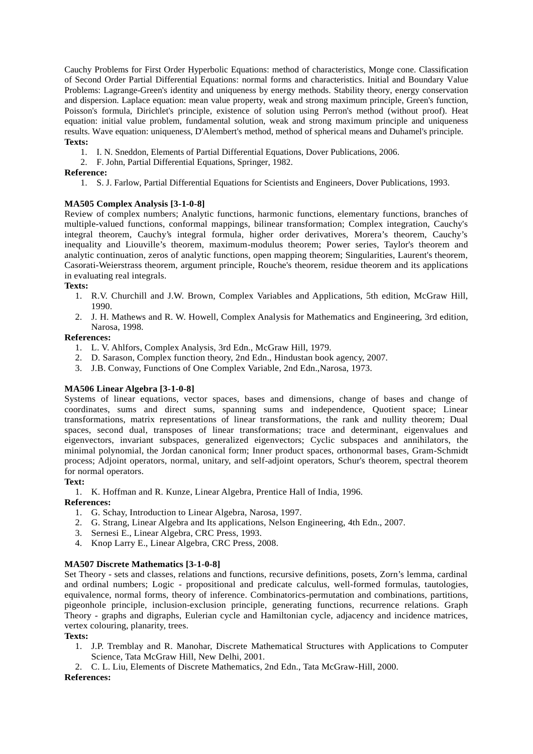Cauchy Problems for First Order Hyperbolic Equations: method of characteristics, Monge cone. Classification of Second Order Partial Differential Equations: normal forms and characteristics. Initial and Boundary Value Problems: Lagrange-Green's identity and uniqueness by energy methods. Stability theory, energy conservation and dispersion. Laplace equation: mean value property, weak and strong maximum principle, Green's function, Poisson's formula, Dirichlet's principle, existence of solution using Perron's method (without proof). Heat equation: initial value problem, fundamental solution, weak and strong maximum principle and uniqueness results. Wave equation: uniqueness, D'Alembert's method, method of spherical means and Duhamel's principle. **Texts:**

- 1. I. N. Sneddon, Elements of Partial Differential Equations, Dover Publications, 2006.
- 2. F. John, Partial Differential Equations, Springer, 1982.

## **Reference:**

1. S. J. Farlow, Partial Differential Equations for Scientists and Engineers, Dover Publications, 1993.

## **MA505 Complex Analysis [3-1-0-8]**

Review of complex numbers; Analytic functions, harmonic functions, elementary functions, branches of multiple-valued functions, conformal mappings, bilinear transformation; Complex integration, Cauchy's integral theorem, Cauchy's integral formula, higher order derivatives, Morera's theorem, Cauchy's inequality and Liouville's theorem, maximum-modulus theorem; Power series, Taylor's theorem and analytic continuation, zeros of analytic functions, open mapping theorem; Singularities, Laurent's theorem, Casorati-Weierstrass theorem, argument principle, Rouche's theorem, residue theorem and its applications in evaluating real integrals.

## **Texts:**

- 1. R.V. Churchill and J.W. Brown, Complex Variables and Applications, 5th edition, McGraw Hill, 1990.
- 2. J. H. Mathews and R. W. Howell, Complex Analysis for Mathematics and Engineering, 3rd edition, Narosa, 1998.

## **References:**

- 1. L. V. Ahlfors, Complex Analysis, 3rd Edn., McGraw Hill, 1979.
- 2. D. Sarason, Complex function theory, 2nd Edn., Hindustan book agency, 2007.
- 3. J.B. Conway, Functions of One Complex Variable, 2nd Edn.,Narosa, 1973.

## **MA506 Linear Algebra [3-1-0-8]**

Systems of linear equations, vector spaces, bases and dimensions, change of bases and change of coordinates, sums and direct sums, spanning sums and independence, Quotient space; Linear transformations, matrix representations of linear transformations, the rank and nullity theorem; Dual spaces, second dual, transposes of linear transformations; trace and determinant, eigenvalues and eigenvectors, invariant subspaces, generalized eigenvectors; Cyclic subspaces and annihilators, the minimal polynomial, the Jordan canonical form; Inner product spaces, orthonormal bases, Gram-Schmidt process; Adjoint operators, normal, unitary, and self-adjoint operators, Schur's theorem, spectral theorem for normal operators.

### **Text:**

1. K. Hoffman and R. Kunze, Linear Algebra, Prentice Hall of India, 1996.

### **References:**

- 1. G. Schay, Introduction to Linear Algebra, Narosa, 1997.
- 2. G. Strang, Linear Algebra and Its applications, Nelson Engineering, 4th Edn., 2007.
- 3. Sernesi E., Linear Algebra, CRC Press, 1993.
- 4. Knop Larry E., Linear Algebra, CRC Press, 2008.

### **MA507 Discrete Mathematics [3-1-0-8]**

Set Theory - sets and classes, relations and functions, recursive definitions, posets, Zorn's lemma, cardinal and ordinal numbers; Logic - propositional and predicate calculus, well-formed formulas, tautologies, equivalence, normal forms, theory of inference. Combinatorics-permutation and combinations, partitions, pigeonhole principle, inclusion-exclusion principle, generating functions, recurrence relations. Graph Theory - graphs and digraphs, Eulerian cycle and Hamiltonian cycle, adjacency and incidence matrices, vertex colouring, planarity, trees.

#### **Texts:**

- 1. J.P. Tremblay and R. Manohar, Discrete Mathematical Structures with Applications to Computer Science, Tata McGraw Hill, New Delhi, 2001.
- 2. C. L. Liu, Elements of Discrete Mathematics, 2nd Edn., Tata McGraw-Hill, 2000.

### **References:**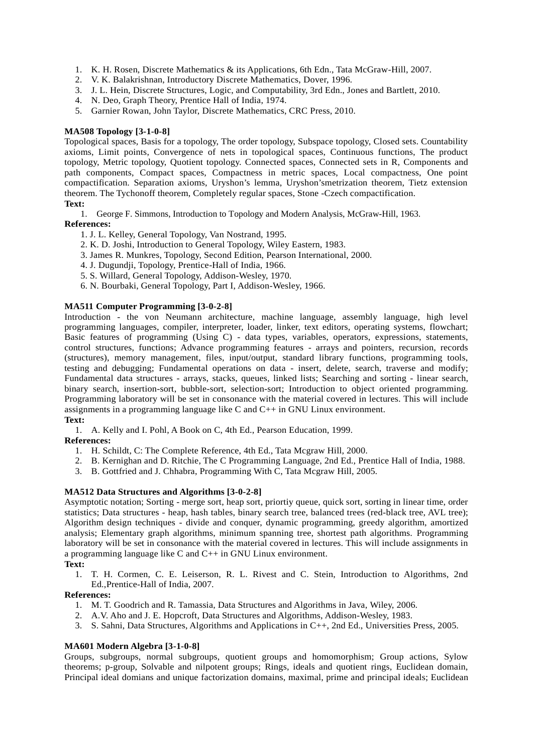- 1. K. H. Rosen, Discrete Mathematics & its Applications, 6th Edn., Tata McGraw-Hill, 2007.
- 2. V. K. Balakrishnan, Introductory Discrete Mathematics, Dover, 1996.
- 3. J. L. Hein, Discrete Structures, Logic, and Computability, 3rd Edn., Jones and Bartlett, 2010.
- 4. N. Deo, Graph Theory, Prentice Hall of India, 1974.
- 5. Garnier Rowan, John Taylor, Discrete Mathematics, CRC Press, 2010.

### **MA508 Topology [3-1-0-8]**

Topological spaces, Basis for a topology, The order topology, Subspace topology, Closed sets. Countability axioms, Limit points, Convergence of nets in topological spaces, Continuous functions, The product topology, Metric topology, Quotient topology. Connected spaces, Connected sets in R, Components and path components, Compact spaces, Compactness in metric spaces, Local compactness, One point compactification. Separation axioms, Uryshon's lemma, Uryshon'smetrization theorem, Tietz extension theorem. The Tychonoff theorem, Completely regular spaces, Stone -Czech compactification.

# **Text:**

1. George F. Simmons, Introduction to Topology and Modern Analysis, McGraw-Hill, 1963.

## **References:**

- 1. J. L. Kelley, General Topology, Van Nostrand, 1995.
- 2. K. D. Joshi, Introduction to General Topology, Wiley Eastern, 1983.
- 3. James R. Munkres, Topology, Second Edition, Pearson International, 2000.
- 4. J. Dugundji, Topology, Prentice-Hall of India, 1966.
- 5. S. Willard, General Topology, Addison-Wesley, 1970.
- 6. N. Bourbaki, General Topology, Part I, Addison-Wesley, 1966.

### **MA511 Computer Programming [3-0-2-8]**

Introduction - the von Neumann architecture, machine language, assembly language, high level programming languages, compiler, interpreter, loader, linker, text editors, operating systems, flowchart; Basic features of programming (Using C) - data types, variables, operators, expressions, statements, control structures, functions; Advance programming features - arrays and pointers, recursion, records (structures), memory management, files, input/output, standard library functions, programming tools, testing and debugging; Fundamental operations on data - insert, delete, search, traverse and modify; Fundamental data structures - arrays, stacks, queues, linked lists; Searching and sorting - linear search, binary search, insertion-sort, bubble-sort, selection-sort; Introduction to object oriented programming. Programming laboratory will be set in consonance with the material covered in lectures. This will include assignments in a programming language like C and  $C_{++}$  in GNU Linux environment.

### **Text:**

1. A. Kelly and I. Pohl, A Book on C, 4th Ed., Pearson Education, 1999.

#### **References:**

- 1. H. Schildt, C: The Complete Reference, 4th Ed., Tata Mcgraw Hill, 2000.
- 2. B. Kernighan and D. Ritchie, The C Programming Language, 2nd Ed., Prentice Hall of India, 1988.
- 3. B. Gottfried and J. Chhabra, Programming With C, Tata Mcgraw Hill, 2005.

### **MA512 Data Structures and Algorithms [3-0-2-8]**

Asymptotic notation; Sorting - merge sort, heap sort, priortiy queue, quick sort, sorting in linear time, order statistics; Data structures - heap, hash tables, binary search tree, balanced trees (red-black tree, AVL tree); Algorithm design techniques - divide and conquer, dynamic programming, greedy algorithm, amortized analysis; Elementary graph algorithms, minimum spanning tree, shortest path algorithms. Programming laboratory will be set in consonance with the material covered in lectures. This will include assignments in a programming language like C and C++ in GNU Linux environment.

#### **Text:**

1. T. H. Cormen, C. E. Leiserson, R. L. Rivest and C. Stein, Introduction to Algorithms, 2nd Ed.,Prentice-Hall of India, 2007.

### **References:**

- 1. M. T. Goodrich and R. Tamassia, Data Structures and Algorithms in Java, Wiley, 2006.
- 2. A.V. Aho and J. E. Hopcroft, Data Structures and Algorithms, Addison-Wesley, 1983.
- 3. S. Sahni, Data Structures, Algorithms and Applications in C++, 2nd Ed., Universities Press, 2005.

### **MA601 Modern Algebra [3-1-0-8]**

Groups, subgroups, normal subgroups, quotient groups and homomorphism; Group actions, Sylow theorems; p-group, Solvable and nilpotent groups; Rings, ideals and quotient rings, Euclidean domain, Principal ideal domians and unique factorization domains, maximal, prime and principal ideals; Euclidean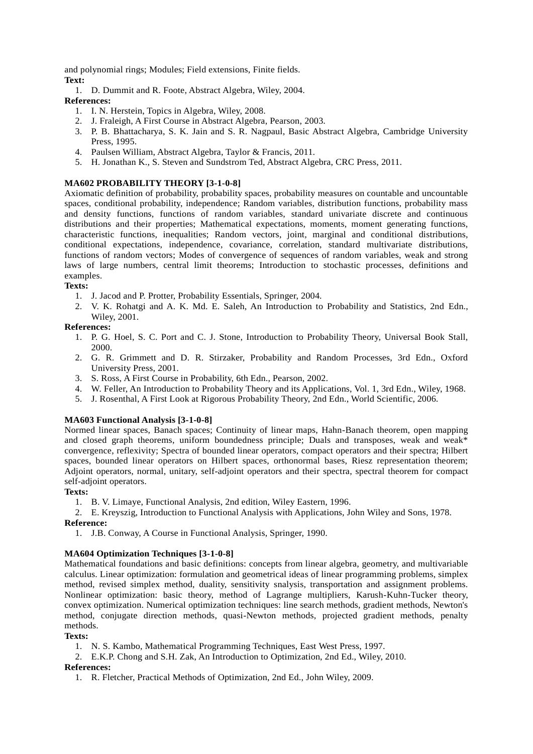and polynomial rings; Modules; Field extensions, Finite fields. **Text:**

1. D. Dummit and R. Foote, Abstract Algebra, Wiley, 2004.

## **References:**

- 1. I. N. Herstein, Topics in Algebra, Wiley, 2008.
- 2. J. Fraleigh, A First Course in Abstract Algebra, Pearson, 2003.
- 3. P. B. Bhattacharya, S. K. Jain and S. R. Nagpaul, Basic Abstract Algebra, Cambridge University Press, 1995.
- 4. Paulsen William, Abstract Algebra, Taylor & Francis, 2011.
- 5. H. Jonathan K., S. Steven and Sundstrom Ted, Abstract Algebra, CRC Press, 2011.

## **MA602 PROBABILITY THEORY [3-1-0-8]**

Axiomatic definition of probability, probability spaces, probability measures on countable and uncountable spaces, conditional probability, independence; Random variables, distribution functions, probability mass and density functions, functions of random variables, standard univariate discrete and continuous distributions and their properties; Mathematical expectations, moments, moment generating functions, characteristic functions, inequalities; Random vectors, joint, marginal and conditional distributions, conditional expectations, independence, covariance, correlation, standard multivariate distributions, functions of random vectors; Modes of convergence of sequences of random variables, weak and strong laws of large numbers, central limit theorems; Introduction to stochastic processes, definitions and examples.

## **Texts:**

- 1. J. Jacod and P. Protter, Probability Essentials, Springer, 2004.
- 2. V. K. Rohatgi and A. K. Md. E. Saleh, An Introduction to Probability and Statistics, 2nd Edn., Wiley, 2001.

## **References:**

- 1. P. G. Hoel, S. C. Port and C. J. Stone, Introduction to Probability Theory, Universal Book Stall, 2000.
- 2. G. R. Grimmett and D. R. Stirzaker, Probability and Random Processes, 3rd Edn., Oxford University Press, 2001.
- 3. S. Ross, A First Course in Probability, 6th Edn., Pearson, 2002.
- 4. W. Feller, An Introduction to Probability Theory and its Applications, Vol. 1, 3rd Edn., Wiley, 1968.
- 5. J. Rosenthal, A First Look at Rigorous Probability Theory, 2nd Edn., World Scientific, 2006.

## **MA603 Functional Analysis [3-1-0-8]**

Normed linear spaces, Banach spaces; Continuity of linear maps, Hahn-Banach theorem, open mapping and closed graph theorems, uniform boundedness principle; Duals and transposes, weak and weak\* convergence, reflexivity; Spectra of bounded linear operators, compact operators and their spectra; Hilbert spaces, bounded linear operators on Hilbert spaces, orthonormal bases, Riesz representation theorem; Adjoint operators, normal, unitary, self-adjoint operators and their spectra, spectral theorem for compact self-adjoint operators.

### **Texts:**

- 1. B. V. Limaye, Functional Analysis, 2nd edition, Wiley Eastern, 1996.
- 2. E. Kreyszig, Introduction to Functional Analysis with Applications, John Wiley and Sons, 1978. **Reference:**
	- 1. J.B. Conway, A Course in Functional Analysis, Springer, 1990.

## **MA604 Optimization Techniques [3-1-0-8]**

Mathematical foundations and basic definitions: concepts from linear algebra, geometry, and multivariable calculus. Linear optimization: formulation and geometrical ideas of linear programming problems, simplex method, revised simplex method, duality, sensitivity snalysis, transportation and assignment problems. Nonlinear optimization: basic theory, method of Lagrange multipliers, Karush-Kuhn-Tucker theory, convex optimization. Numerical optimization techniques: line search methods, gradient methods, Newton's method, conjugate direction methods, quasi-Newton methods, projected gradient methods, penalty methods.

### **Texts:**

- 1. N. S. Kambo, Mathematical Programming Techniques, East West Press, 1997.
- 2. E.K.P. Chong and S.H. Zak, An Introduction to Optimization, 2nd Ed., Wiley, 2010. **References:**
	- 1. R. Fletcher, Practical Methods of Optimization, 2nd Ed., John Wiley, 2009.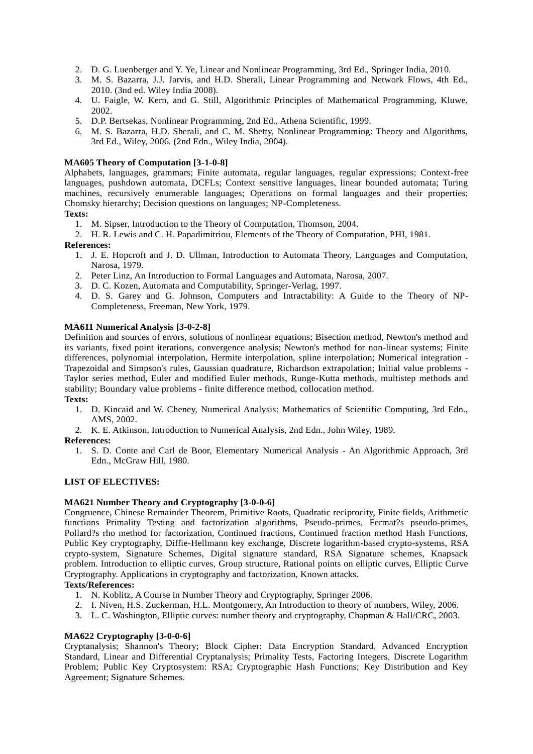- 2. D. G. Luenberger and Y. Ye, Linear and Nonlinear Programming, 3rd Ed., Springer India, 2010.
- 3. M. S. Bazarra, J.J. Jarvis, and H.D. Sherali, Linear Programming and Network Flows, 4th Ed., 2010. (3nd ed. Wiley India 2008).
- 4. U. Faigle, W. Kern, and G. Still, Algorithmic Principles of Mathematical Programming, Kluwe, 2002.
- 5. D.P. Bertsekas, Nonlinear Programming, 2nd Ed., Athena Scientific, 1999.
- 6. M. S. Bazarra, H.D. Sherali, and C. M. Shetty, Nonlinear Programming: Theory and Algorithms, 3rd Ed., Wiley, 2006. (2nd Edn., Wiley India, 2004).

### **MA605 Theory of Computation [3-1-0-8]**

Alphabets, languages, grammars; Finite automata, regular languages, regular expressions; Context-free languages, pushdown automata, DCFLs; Context sensitive languages, linear bounded automata; Turing machines, recursively enumerable languages; Operations on formal languages and their properties; Chomsky hierarchy; Decision questions on languages; NP-Completeness.

### **Texts:**

1. M. Sipser, Introduction to the Theory of Computation, Thomson, 2004.

2. H. R. Lewis and C. H. Papadimitriou, Elements of the Theory of Computation, PHI, 1981.

### **References:**

- 1. J. E. Hopcroft and J. D. Ullman, Introduction to Automata Theory, Languages and Computation, Narosa, 1979.
- 2. Peter Linz, An Introduction to Formal Languages and Automata, Narosa, 2007.
- 3. D. C. Kozen, Automata and Computability, Springer-Verlag, 1997.
- 4. D. S. Garey and G. Johnson, Computers and Intractability: A Guide to the Theory of NP- Completeness, Freeman, New York, 1979.

### **MA611 Numerical Analysis [3-0-2-8]**

Definition and sources of errors, solutions of nonlinear equations; Bisection method, Newton's method and its variants, fixed point iterations, convergence analysis; Newton's method for non-linear systems; Finite differences, polynomial interpolation, Hermite interpolation, spline interpolation; Numerical integration - Trapezoidal and Simpson's rules, Gaussian quadrature, Richardson extrapolation; Initial value problems - Taylor series method, Euler and modified Euler methods, Runge-Kutta methods, multistep methods and stability; Boundary value problems - finite difference method, collocation method.

- **Texts:**
	- 1. D. Kincaid and W. Cheney, Numerical Analysis: Mathematics of Scientific Computing, 3rd Edn., AMS, 2002.
	- 2. K. E. Atkinson, Introduction to Numerical Analysis, 2nd Edn., John Wiley, 1989.

#### **References:**

1. S. D. Conte and Carl de Boor, Elementary Numerical Analysis - An Algorithmic Approach, 3rd Edn., McGraw Hill, 1980.

#### **LIST OF ELECTIVES:**

#### **MA621 Number Theory and Cryptography [3-0-0-6]**

Congruence, Chinese Remainder Theorem, Primitive Roots, Quadratic reciprocity, Finite fields, Arithmetic functions Primality Testing and factorization algorithms, Pseudo-primes, Fermat?s pseudo-primes, Pollard?s rho method for factorization, Continued fractions, Continued fraction method Hash Functions, Public Key cryptography, Diffie-Hellmann key exchange, Discrete logarithm-based crypto-systems, RSA crypto-system, Signature Schemes, Digital signature standard, RSA Signature schemes, Knapsack problem. Introduction to elliptic curves, Group structure, Rational points on elliptic curves, Elliptic Curve Cryptography. Applications in cryptography and factorization, Known attacks.

#### **Texts/References:**

- 1. N. Koblitz, A Course in Number Theory and Cryptography, Springer 2006.
- 2. I. Niven, H.S. Zuckerman, H.L. Montgomery, An Introduction to theory of numbers, Wiley, 2006.
- 3. L. C. Washington, Elliptic curves: number theory and cryptography, Chapman & Hall/CRC, 2003.

### **MA622 Cryptography [3-0-0-6]**

Cryptanalysis; Shannon's Theory; Block Cipher: Data Encryption Standard, Advanced Encryption Standard, Linear and Differential Cryptanalysis; Primality Tests, Factoring Integers, Discrete Logarithm Problem; Public Key Cryptosystem: RSA; Cryptographic Hash Functions; Key Distribution and Key Agreement; Signature Schemes.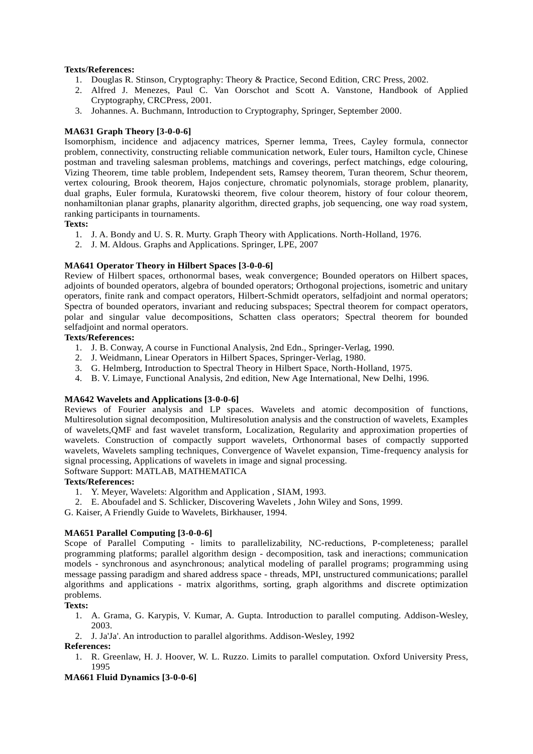### **Texts/References:**

- 1. Douglas R. Stinson, Cryptography: Theory & Practice, Second Edition, CRC Press, 2002.
- 2. Alfred J. Menezes, Paul C. Van Oorschot and Scott A. Vanstone, Handbook of Applied Cryptography, CRCPress, 2001.
- 3. Johannes. A. Buchmann, Introduction to Cryptography, Springer, September 2000.

## **MA631 Graph Theory [3-0-0-6]**

Isomorphism, incidence and adjacency matrices, Sperner lemma, Trees, Cayley formula, connector problem, connectivity, constructing reliable communication network, Euler tours, Hamilton cycle, Chinese postman and traveling salesman problems, matchings and coverings, perfect matchings, edge colouring, Vizing Theorem, time table problem, Independent sets, Ramsey theorem, Turan theorem, Schur theorem, vertex colouring, Brook theorem, Hajos conjecture, chromatic polynomials, storage problem, planarity, dual graphs, Euler formula, Kuratowski theorem, five colour theorem, history of four colour theorem, nonhamiltonian planar graphs, planarity algorithm, directed graphs, job sequencing, one way road system, ranking participants in tournaments.

### **Texts:**

- 1. J. A. Bondy and U. S. R. Murty. Graph Theory with Applications. North-Holland, 1976.
- 2. J. M. Aldous. Graphs and Applications. Springer, LPE, 2007

## **MA641 Operator Theory in Hilbert Spaces [3-0-0-6]**

Review of Hilbert spaces, orthonormal bases, weak convergence; Bounded operators on Hilbert spaces, adjoints of bounded operators, algebra of bounded operators; Orthogonal projections, isometric and unitary operators, finite rank and compact operators, Hilbert-Schmidt operators, selfadjoint and normal operators; Spectra of bounded operators, invariant and reducing subspaces; Spectral theorem for compact operators, polar and singular value decompositions, Schatten class operators; Spectral theorem for bounded selfadjoint and normal operators.

## **Texts/References:**

- 1. J. B. Conway, A course in Functional Analysis, 2nd Edn., Springer-Verlag, 1990.
- 2. J. Weidmann, Linear Operators in Hilbert Spaces, Springer-Verlag, 1980.
- 3. G. Helmberg, Introduction to Spectral Theory in Hilbert Space, North-Holland, 1975.
- 4. B. V. Limaye, Functional Analysis, 2nd edition, New Age International, New Delhi, 1996.

### **MA642 Wavelets and Applications [3-0-0-6]**

Reviews of Fourier analysis and LP spaces. Wavelets and atomic decomposition of functions, Multiresolution signal decomposition, Multiresolution analysis and the construction of wavelets, Examples of wavelets,QMF and fast wavelet transform, Localization, Regularity and approximation properties of wavelets. Construction of compactly support wavelets, Orthonormal bases of compactly supported wavelets, Wavelets sampling techniques, Convergence of Wavelet expansion, Time-frequency analysis for signal processing, Applications of wavelets in image and signal processing.

# Software Support: MATLAB, MATHEMATICA

### **Texts/References:**

- 1. Y. Meyer, Wavelets: Algorithm and Application , SIAM, 1993.
- 2. E. Aboufadel and S. Schlicker, Discovering Wavelets , John Wiley and Sons, 1999.
- G. Kaiser, A Friendly Guide to Wavelets, Birkhauser, 1994.

### **MA651 Parallel Computing [3-0-0-6]**

Scope of Parallel Computing - limits to parallelizability, NC-reductions, P-completeness; parallel programming platforms; parallel algorithm design - decomposition, task and ineractions; communication models - synchronous and asynchronous; analytical modeling of parallel programs; programming using message passing paradigm and shared address space - threads, MPI, unstructured communications; parallel algorithms and applications - matrix algorithms, sorting, graph algorithms and discrete optimization problems.

### **Texts:**

- 1. A. Grama, G. Karypis, V. Kumar, A. Gupta. Introduction to parallel computing. Addison-Wesley, 2003.
- 2. J. Ja'Ja'. An introduction to parallel algorithms. Addison-Wesley, 1992
- **References:**
	- 1. R. Greenlaw, H. J. Hoover, W. L. Ruzzo. Limits to parallel computation. Oxford University Press, 1995

## **MA661 Fluid Dynamics [3-0-0-6]**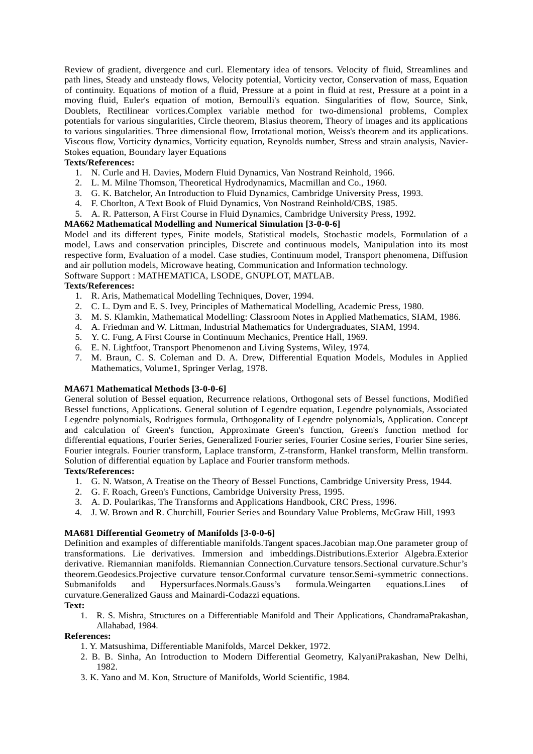Review of gradient, divergence and curl. Elementary idea of tensors. Velocity of fluid, Streamlines and path lines, Steady and unsteady flows, Velocity potential, Vorticity vector, Conservation of mass, Equation of continuity. Equations of motion of a fluid, Pressure at a point in fluid at rest, Pressure at a point in a moving fluid, Euler's equation of motion, Bernoulli's equation. Singularities of flow, Source, Sink, Doublets, Rectilinear vortices.Complex variable method for two-dimensional problems, Complex potentials for various singularities, Circle theorem, Blasius theorem, Theory of images and its applications to various singularities. Three dimensional flow, Irrotational motion, Weiss's theorem and its applications. Viscous flow, Vorticity dynamics, Vorticity equation, Reynolds number, Stress and strain analysis, Navier- Stokes equation, Boundary layer Equations

## **Texts/References:**

- 1. N. Curle and H. Davies, Modern Fluid Dynamics, Van Nostrand Reinhold, 1966.
- 2. L. M. Milne Thomson, Theoretical Hydrodynamics, Macmillan and Co., 1960.
- 3. G. K. Batchelor, An Introduction to Fluid Dynamics, Cambridge University Press, 1993.
- 4. F. Chorlton, A Text Book of Fluid Dynamics, Von Nostrand Reinhold/CBS, 1985.
- 5. A. R. Patterson, A First Course in Fluid Dynamics, Cambridge University Press, 1992.

## **MA662 Mathematical Modelling and Numerical Simulation [3-0-0-6]**

Model and its different types, Finite models, Statistical models, Stochastic models, Formulation of a model, Laws and conservation principles, Discrete and continuous models, Manipulation into its most respective form, Evaluation of a model. Case studies, Continuum model, Transport phenomena, Diffusion and air pollution models, Microwave heating, Communication and Information technology. Software Support : MATHEMATICA, LSODE, GNUPLOT, MATLAB.

### **Texts/References:**

- 1. R. Aris, Mathematical Modelling Techniques, Dover, 1994.
- 2. C. L. Dym and E. S. Ivey, Principles of Mathematical Modelling, Academic Press, 1980.
- 3. M. S. Klamkin, Mathematical Modelling: Classroom Notes in Applied Mathematics, SIAM, 1986.
- 4. A. Friedman and W. Littman, Industrial Mathematics for Undergraduates, SIAM, 1994.
- 5. Y. C. Fung, A First Course in Continuum Mechanics, Prentice Hall, 1969.
- 6. E. N. Lightfoot, Transport Phenomenon and Living Systems, Wiley, 1974.
- 7. M. Braun, C. S. Coleman and D. A. Drew, Differential Equation Models, Modules in Applied Mathematics, Volume1, Springer Verlag, 1978.

### **MA671 Mathematical Methods [3-0-0-6]**

General solution of Bessel equation, Recurrence relations, Orthogonal sets of Bessel functions, Modified Bessel functions, Applications. General solution of Legendre equation, Legendre polynomials, Associated Legendre polynomials, Rodrigues formula, Orthogonality of Legendre polynomials, Application. Concept and calculation of Green's function, Approximate Green's function, Green's function method for differential equations, Fourier Series, Generalized Fourier series, Fourier Cosine series, Fourier Sine series, Fourier integrals. Fourier transform, Laplace transform, Z-transform, Hankel transform, Mellin transform. Solution of differential equation by Laplace and Fourier transform methods.

### **Texts/References:**

- 1. G. N. Watson, A Treatise on the Theory of Bessel Functions, Cambridge University Press, 1944.
- 2. G. F. Roach, Green's Functions, Cambridge University Press, 1995.
- 3. A. D. Poularikas, The Transforms and Applications Handbook, CRC Press, 1996.
- 4. J. W. Brown and R. Churchill, Fourier Series and Boundary Value Problems, McGraw Hill, 1993

### **MA681 Differential Geometry of Manifolds [3-0-0-6]**

Definition and examples of differentiable manifolds.Tangent spaces.Jacobian map.One parameter group of transformations. Lie derivatives. Immersion and imbeddings.Distributions.Exterior Algebra.Exterior derivative. Riemannian manifolds. Riemannian Connection.Curvature tensors.Sectional curvature.Schur's theorem.Geodesics.Projective curvature tensor.Conformal curvature tensor.Semi-symmetric connections. Submanifolds and Hypersurfaces.Normals.Gauss's formula.Weingarten equations.Lines of curvature.Generalized Gauss and Mainardi-Codazzi equations.

### **Text:**

1. R. S. Mishra, Structures on a Differentiable Manifold and Their Applications, ChandramaPrakashan, Allahabad, 1984.

### **References:**

- 1. Y. Matsushima, Differentiable Manifolds, Marcel Dekker, 1972.
- 2. B. B. Sinha, An Introduction to Modern Differential Geometry, KalyaniPrakashan, New Delhi, 1982.
- 3. K. Yano and M. Kon, Structure of Manifolds, World Scientific, 1984.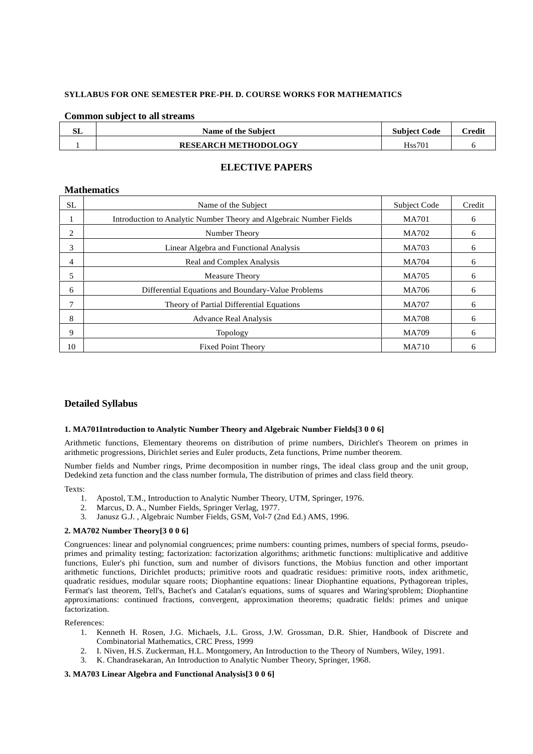### **SYLLABUS FOR ONE SEMESTER PRE-PH. D. COURSE WORKS FOR MATHEMATICS**

### **Common subject to all streams**

| GТ | Name of the Subject         | <b>Subject Code</b> | $C$ redit |
|----|-----------------------------|---------------------|-----------|
|    | <b>RESEARCH METHODOLOGY</b> | H <sub>ss</sub> 701 |           |

## **ELECTIVE PAPERS**

#### **Mathematics**

| <b>SL</b> | Name of the Subject                                                | <b>Subject Code</b> | Credit |
|-----------|--------------------------------------------------------------------|---------------------|--------|
|           | Introduction to Analytic Number Theory and Algebraic Number Fields | <b>MA701</b>        | 6      |
| 2         | Number Theory                                                      | MA702               | 6      |
| 3         | Linear Algebra and Functional Analysis                             | MA703               | 6      |
| 4         | Real and Complex Analysis                                          | <b>MA704</b>        | 6      |
| 5         | <b>Measure Theory</b>                                              | <b>MA705</b>        | 6      |
| 6         | Differential Equations and Boundary-Value Problems                 | MA706               | 6      |
|           | Theory of Partial Differential Equations                           | <b>MA707</b>        | 6      |
| 8         | <b>Advance Real Analysis</b>                                       | <b>MA708</b>        | 6      |
| 9         | Topology                                                           | MA709               | 6      |
| 10        | <b>Fixed Point Theory</b>                                          | <b>MA710</b>        | 6      |

### **Detailed Syllabus**

#### **1. MA701Introduction to Analytic Number Theory and Algebraic Number Fields[3 0 0 6]**

Arithmetic functions, Elementary theorems on distribution of prime numbers, Dirichlet's Theorem on primes in arithmetic progressions, Dirichlet series and Euler products, Zeta functions, Prime number theorem.

Number fields and Number rings, Prime decomposition in number rings, The ideal class group and the unit group, Dedekind zeta function and the class number formula, The distribution of primes and class field theory.

Texts:  $\frac{1}{1}$ 

- 1. Apostol, T.M., Introduction to Analytic Number Theory, UTM, Springer, 1976.
- 2. Marcus, D. A., Number Fields, Springer Verlag, 1977.
- 3. Janusz G.J. , Algebraic Number Fields, GSM, Vol-7 (2nd Ed.) AMS, 1996.

#### **2. MA702 Number Theory[3 0 0 6]**

Congruences: linear and polynomial congruences; prime numbers: counting primes, numbers of special forms, pseudo primes and primality testing; factorization: factorization algorithms; arithmetic functions: multiplicative and additive functions, Euler's phi function, sum and number of divisors functions, the Mobius function and other important arithmetic functions, Dirichlet products; primitive roots and quadratic residues: primitive roots, index arithmetic, quadratic residues, modular square roots; Diophantine equations: linear Diophantine equations, Pythagorean triples, Fermat's last theorem, Tell's, Bachet's and Catalan's equations, sums of squares and Waring'sproblem; Diophantine approximations: continued fractions, convergent, approximation theorems; quadratic fields: primes and unique factorization.

References:

- 1. Kenneth H. Rosen, J.G. Michaels, J.L. Gross, J.W. Grossman, D.R. Shier, Handbook of Discrete and Combinatorial Mathematics, CRC Press, 1999
- 2. I. Niven, H.S. Zuckerman, H.L. Montgomery, An Introduction to the Theory of Numbers, Wiley, 1991.
- 3. K. Chandrasekaran, An Introduction to Analytic Number Theory, Springer, 1968.

#### **3. MA703 Linear Algebra and Functional Analysis[3 0 0 6]**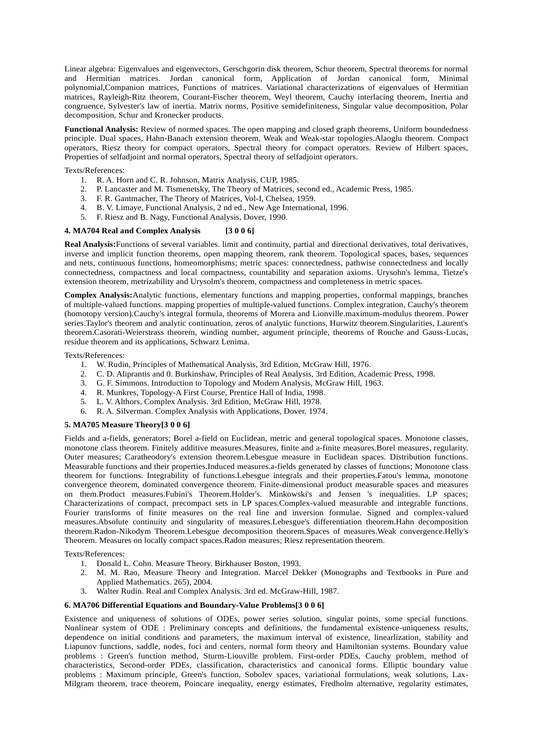Linear algebra: Eigenvalues and eigenvectors, Gerschgorin disk theorem, Schur theorem, Spectral theorems for normal and Hermitian matrices. Jordan canonical form, Application of Jordan canonical form, Minimal polynomial,Companion matrices, Functions of matrices. Variational characterizations of eigenvalues of Hermitian matrices, Rayleigh-Ritz theorem, Courant-Fischer theorem, Weyl theorem, Cauchy interlacing theorem, Inertia and congruence, Sylvester's law of inertia. Matrix norms, Positive semidefiniteness, Singular value decomposition, Polar decomposition, Schur and Kronecker products.

**Functional Analysis:** Review of normed spaces. The open mapping and closed graph theorems, Uniform boundedness principle. Dual spaces, Hahn-Banach extension theorem, Weak and Weak-star topologies.Alaoglu theorem. Compact operators, Riesz theory for compact operators, Spectral theory for compact operators. Review of Hilbert spaces, Properties of selfadjoint and normal operators, Spectral theory of selfadjoint operators.

Texts/References:

- 1. R. A. Horn and C. R. Johnson, Matrix Analysis, CUP, 1985.
- 2. P. Lancaster and M. Tismenetsky, The Theory of Matrices, second ed., Academic Press, 1985.
- 3. F. R. Gantmacher, The Theory of Matrices, Vol-I, Chelsea, 1959.
- 4. B. V. Limaye, Functional Analysis, 2 nd ed., New Age International, 1996.
- 5. F. Riesz and B. Nagy, Functional Analysis, Dover, 1990.

#### **4. MA704 Real and Complex Analysis [3 0 0 6]**

**Real Analysis:**Functions of several variables. limit and continuity, partial and directional derivatives, total derivatives, inverse and implicit function theorems, open mapping theorem, rank theorem. Topological spaces, bases, sequences and nets, continuous functions, homeomorphisms; metric spaces: connectedness, pathwise connectedness and locally connectedness, compactness and local compactness, countability and separation axioms. Urysohn's lemma, Tietze's extension theorem, metrizability and Urysolm's theorem, compactness and completeness in metric spaces.

**Complex Analysis:**Analytic functions, elementary functions and mapping properties, conformal mappings, branches of multiple-valued functions. mapping properties of multiple-valued functions. Complex integration, Cauchy's theorem (homotopy version).Cauchy's integral formula, theorems of Morera and Lionville.maximum-modulus theorem. Power series.Taylor's theorem and analytic continuation, zeros of analytic functions, Hurwitz theorem.Singularities, Laurent's theorem.Casorati-Weierstrass theorem, winding number, argument principle, theorems of Rouche and Gauss-Lucas, residue theorem and its applications, Schwarz Lenima.

Texts/References:

- 1. W. Rudin, Principles of Mathematical Analysis, 3rd Edition, McGraw Hill, 1976.
- 2. C. D. Aliprantis and 0. Burkinshaw, Principles of Real Analysis, 3rd Edition, Academic Press, 1998.
- 3. G. F. Simmons. Introduction to Topology and Modern Analysis, McGraw Hill, 1963.
- 4. R. Munkres, Topology-A First Course, Prentice Hall of India, 1998.
- 5. L. V. Althors. Complex Analysis. 3rd Edition, McGraw Hill, 1978.
- 6. R. A. Silverman. Complex Analysis with Applications, Dover. 1974.

#### **5. MA705 Measure Theory[3 0 0 6]**

Fields and a-fields, generators; Borel a-field on Euclidean, metric and general topological spaces. Monotone classes, monotone class theorem. Finitely additive measures.Measures, finite and a-finite measures.Borel measures, regularity. Outer measures; Caratheodory's extension theorem.Lebesgue measure in Euclidean spaces. Distribution functions. Measurable functions and their properties.Induced measures.a-fields generated by classes of functions; Monotone class theorem for functions. Integrability of functions.Lebesgue integrals and their properties.Fatou's lemma, monotone convergence theorem, dominated convergence theorem. Finite-dimensional product measurable spaces and measures on them.Product measures.Fubini's Theorem.Holder's. Minkowski's and Jensen 's inequalities. LP spaces; Characterizations of compact, precompact sets in LP spaces.Complex-valued measurable and integrable functions. Fourier transforms of finite measures on the real line and inversion formulae. Signed and complex-valued measures.Absolute continuity and singularity of measures.Lebesgue's differentiation theorem.Hahn decomposition theorem.Radon-Nikodym Theorem.Lebesgue decomposition theorem.Spaces of measures.Weak convergence.Helly's Theorem. Measures on locally compact spaces.Radon measures; Riesz representation theorem.

Texts/References:

- 1. Donald L. Cohn. Measure Theory. Birkhauser Boston, 1993.
- 2. M. M. Rao, Measure Theory and Integration. Marcel Dekker (Monographs and Textbooks in Pure and Applied Mathematics. 265), 2004.
- 3. Walter Rudin. Real and Complex Analysis. 3rd ed. McGraw-Hill, 1987.

#### **6. MA706 Differential Equations and Boundary-Value Problems[3 0 0 6]**

Existence and uniqueness of solutions of ODEs, power series solution, singular points, some special functions. Nonlinear system of ODE : Preliminary concepts and definitions, the fundamental existence-uniqueness results, dependence on initial conditions and parameters, the maximum interval of existence, linearlization, stability and Liapunov functions, saddle, nodes, foci and centers, normal form theory and Hamiltonian systems. Boundary value problems : Green's function method, Sturm-Liouville problem. First-order PDEs, Cauchy problem, method of characteristics, Second-order PDEs, classification, characteristics and canonical forms. Elliptic boundary value problems : Maximum principle, Green's function, Sobolev spaces, variational formulations, weak solutions, Lax- Milgram theorem, trace theorem, Poincare inequality, energy estimates, Fredholm alternative, regularity estimates,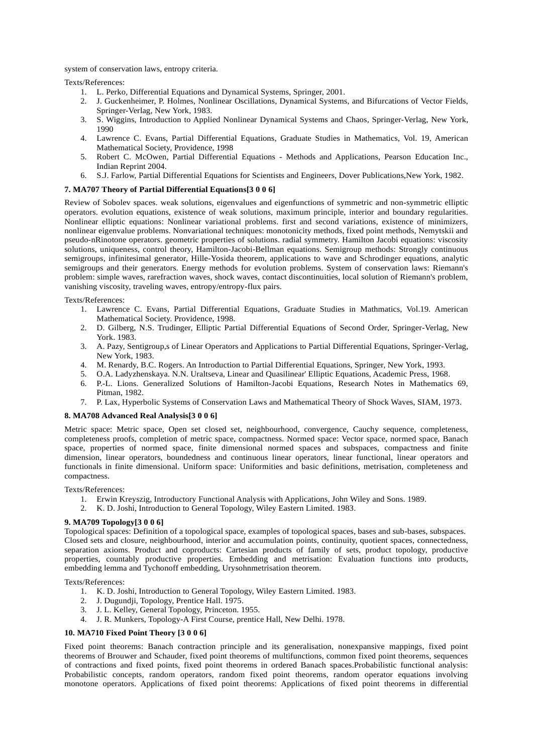system of conservation laws, entropy criteria.

Texts/References:

- 1. L. Perko, Differential Equations and Dynamical Systems, Springer, 2001.
- 2. J. Guckenheimer, P. Holmes, Nonlinear Oscillations, Dynamical Systems, and Bifurcations of Vector Fields, Springer-Verlag, New York, 1983.
- 3. S. Wiggins, Introduction to Applied Nonlinear Dynamical Systems and Chaos, Springer-Verlag, New York, 1990
- 4. Lawrence C. Evans, Partial Differential Equations, Graduate Studies in Mathematics, Vol. 19, American Mathematical Society, Providence, 1998
- 5. Robert C. McOwen, Partial Differential Equations Methods and Applications, Pearson Education Inc., Indian Reprint 2004.
- 6. S.J. Farlow, Partial Differential Equations for Scientists and Engineers, Dover Publications,New York, 1982.

#### **7. MA707 Theory of Partial Differential Equations[3 0 0 6]**

Review of Sobolev spaces. weak solutions, eigenvalues and eigenfunctions of symmetric and non-symmetric elliptic operators. evolution equations, existence of weak solutions, maximum principle, interior and boundary regularities. Nonlinear elliptic equations: Nonlinear variational problems. first and second variations, existence of minimizers, nonlinear eigenvalue problems. Nonvariational techniques: monotonicity methods, fixed point methods, Nemytskii and pseudo-nRinotone operators. geometric properties of solutions. radial symmetry. Hamilton Jacobi equations: viscosity solutions, uniqueness, control theory, Hamilton-Jacobi-Bellman equations. Semigroup methods: Strongly continuous semigroups, infinitesimal generator, Hille-Yosida theorem, applications to wave and Schrodinger equations, analytic semigroups and their generators. Energy methods for evolution problems. System of conservation laws: Riemann's problem: simple waves, rarefraction waves, shock waves, contact discontinuities, local solution of Riemann's problem, vanishing viscosity, traveling waves, entropy/entropy-flux pairs.

Texts/References:

- 1. Lawrence C. Evans, Partial Differential Equations, Graduate Studies in Mathmatics, Vol.19. American Mathematical Society. Providence, 1998.
- 2. D. Gilberg, N.S. Trudinger, Elliptic Partial Differential Equations of Second Order, Springer-Verlag, New York. 1983.
- 3. A. Pazy, Sentigroup,s of Linear Operators and Applications to Partial Differential Equations, Springer-Verlag, New York, 1983.
- 4. M. Renardy, B.C. Rogers. An Introduction to Partial Differential Equations, Springer, New York, 1993.
- 5. O.A. Ladyzhenskaya. N.N. Uraltseva, Linear and Quasilinear' Elliptic Equations, Academic Press, 1968. 6. P.-L. Lions. Generalized Solutions of Hamilton-Jacobi Equations, Research Notes in Mathematics 69, Pitman, 1982.
- 7. P. Lax, Hyperbolic Systems of Conservation Laws and Mathematical Theory of Shock Waves, SIAM, 1973.

#### **8. MA708 Advanced Real Analysis[3 0 0 6]**

Metric space: Metric space, Open set closed set, neighbourhood, convergence, Cauchy sequence, completeness, completeness proofs, completion of metric space, compactness. Normed space: Vector space, normed space, Banach space, properties of normed space, finite dimensional normed spaces and subspaces, compactness and finite dimension, linear operators, boundedness and continuous linear operators, linear functional, linear operators and functionals in finite dimensional. Uniform space: Uniformities and basic definitions, metrisation, completeness and compactness.

Texts/References:

- 1. Erwin Kreyszig, Introductory Functional Analysis with Applications, John Wiley and Sons. 1989.
- 2. K. D. Joshi, Introduction to General Topology, Wiley Eastern Limited. 1983.

#### **9. MA709 Topology[3 0 0 6]**

Topological spaces: Definition of a topological space, examples of topological spaces, bases and sub-bases, subspaces. Closed sets and closure, neighbourhood, interior and accumulation points, continuity, quotient spaces, connectedness, separation axioms. Product and coproducts: Cartesian products of family of sets, product topology, productive properties, countably productive properties. Embedding and metrisation: Evaluation functions into products, embedding lemma and Tychonoff embedding, Urysohnmetrisation theorem.

Texts/References:

- 1. K. D. Joshi, Introduction to General Topology, Wiley Eastern Limited. 1983.
- 2. J. Dugundji, Topology, Prentice Hall. 1975.
- 3. J. L. Kelley, General Topology, Princeton. 1955.
- 4. J. R. Munkers, Topology-A First Course, prentice Hall, New Delhi. 1978.

#### **10. MA710 Fixed Point Theory [3 0 0 6]**

Fixed point theorems: Banach contraction principle and its generalisation, nonexpansive mappings, fixed point theorems of Brouwer and Schauder, fixed point theorems of multifunctions, common fixed point theorems, sequences of contractions and fixed points, fixed point theorems in ordered Banach spaces.Probabilistic functional analysis: Probabilistic concepts, random operators, random fixed point theorems, random operator equations involving monotone operators. Applications of fixed point theorems: Applications of fixed point theorems in differential